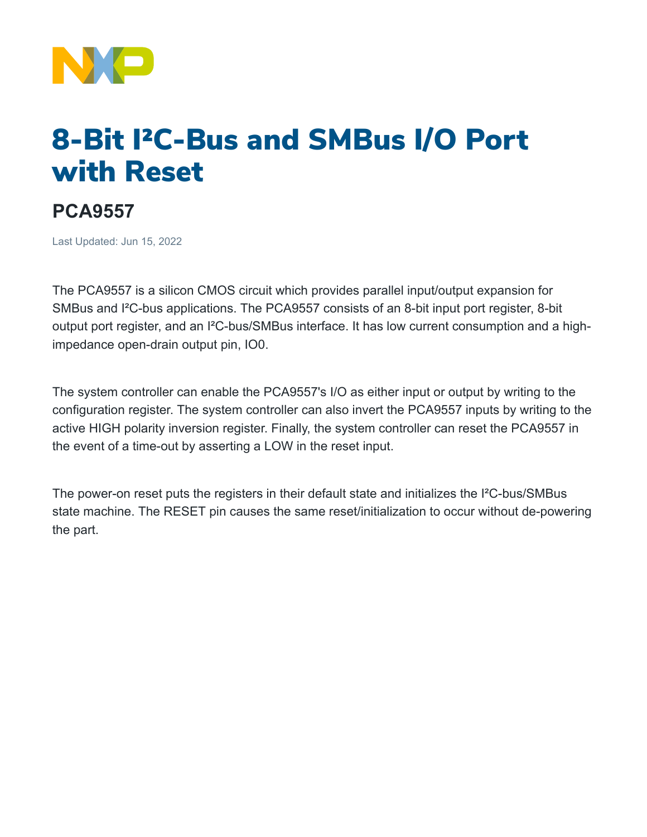

# 8-Bit I²C-Bus and SMBus I/O Port with Reset

## **PCA9557**

Last Updated: Jun 15, 2022

The PCA9557 is a silicon CMOS circuit which provides parallel input/output expansion for SMBus and I²C-bus applications. The PCA9557 consists of an 8-bit input port register, 8-bit output port register, and an I²C-bus/SMBus interface. It has low current consumption and a highimpedance open-drain output pin, IO0.

The system controller can enable the PCA9557's I/O as either input or output by writing to the configuration register. The system controller can also invert the PCA9557 inputs by writing to the active HIGH polarity inversion register. Finally, the system controller can reset the PCA9557 in the event of a time-out by asserting a LOW in the reset input.

The power-on reset puts the registers in their default state and initializes the I²C-bus/SMBus state machine. The RESET pin causes the same reset/initialization to occur without de-powering the part.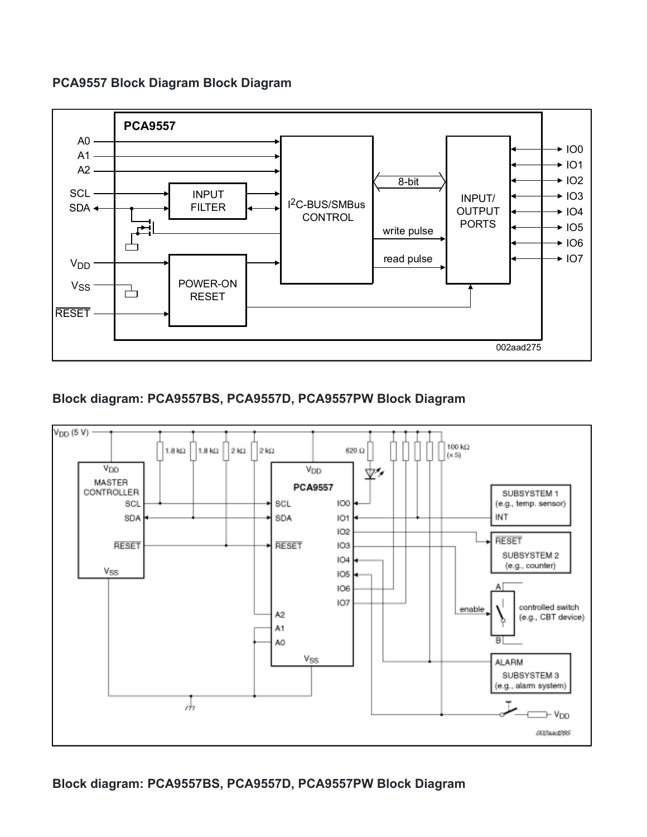### **PCA9557 Block Diagram Block Diagram**



### **Block diagram: PCA9557BS, PCA9557D, PCA9557PW Block Diagram**



**Block diagram: PCA9557BS, PCA9557D, PCA9557PW Block Diagram**